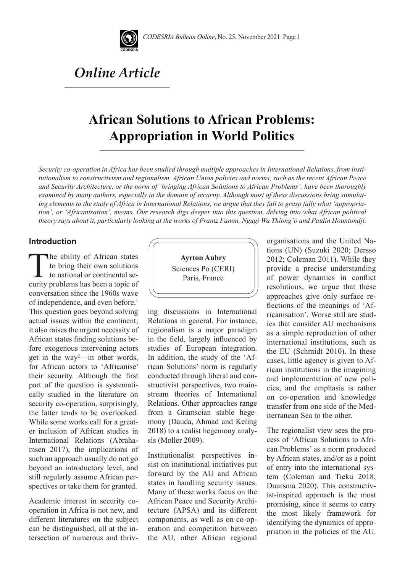

# *Online Article*

# **African Solutions to African Problems: Appropriation in World Politics**

*Security co-operation in Africa has been studied through multiple approaches in International Relations, from institutionalism to constructivism and regionalism. African Union policies and norms, such as the recent African Peace and Security Architecture, or the norm of 'bringing African Solutions to African Problems', have been thoroughly examined by many authors, especially in the domain of security. Although most of these discussions bring stimulating elements to the study of Africa in International Relations, we argue that they fail to grasp fully what 'appropriation', or 'Africanisation', means. Our research digs deeper into this question, delving into what African political theory says about it, particularly looking at the works of Frantz Fanon, Ngugi Wa Thiong'o and Paulin Hountondji.*

#### **Introduction**

The ability of African states to bring their own solutions to national or continental security problems has been a topic of conversation since the 1960s wave of independence, and even before.<sup>1</sup> This question goes beyond solving actual issues within the continent; it also raises the urgent necessity of African states finding solutions before exogenous intervening actors get in the way2 —in other words, for African actors to 'Africanise' their security. Although the first part of the question is systematically studied in the literature on security co-operation, surprisingly, the latter tends to be overlooked. While some works call for a greater inclusion of African studies in International Relations (Abrahamsen 2017), the implications of such an approach usually do not go beyond an introductory level, and still regularly assume African perspectives or take them for granted.

Academic interest in security cooperation in Africa is not new, and different literatures on the subject can be distinguished, all at the intersection of numerous and thriv-



ing discussions in International Relations in general. For instance, regionalism is a major paradigm in the field, largely influenced by studies of European integration. In addition, the study of the 'African Solutions' norm is regularly conducted through liberal and constructivist perspectives, two mainstream theories of International Relations. Other approaches range from a Gramscian stable hegemony (Dauda, Ahmad and Keling 2018) to a realist hegemony analysis (Moller 2009).

Institutionalist perspectives insist on institutional initiatives put forward by the AU and African states in handling security issues. Many of these works focus on the African Peace and Security Architecture (APSA) and its different components, as well as on co-operation and competition between the AU, other African regional organisations and the United Nations (UN) (Suzuki 2020; Dersso 2012; Coleman 2011). While they provide a precise understanding of power dynamics in conflict resolutions, we argue that these approaches give only surface reflections of the meanings of 'Africanisation'. Worse still are studies that consider AU mechanisms as a simple reproduction of other international institutions, such as the EU (Schmidt 2010). In these cases, little agency is given to African institutions in the imagining and implementation of new policies, and the emphasis is rather on co-operation and knowledge transfer from one side of the Mediterranean Sea to the other.

The regionalist view sees the process of 'African Solutions to African Problems' as a norm produced by African states, and/or as a point of entry into the international system (Coleman and Tieku 2018; Duursma 2020). This constructivist-inspired approach is the most promising, since it seems to carry the most likely framework for identifying the dynamics of appropriation in the policies of the AU.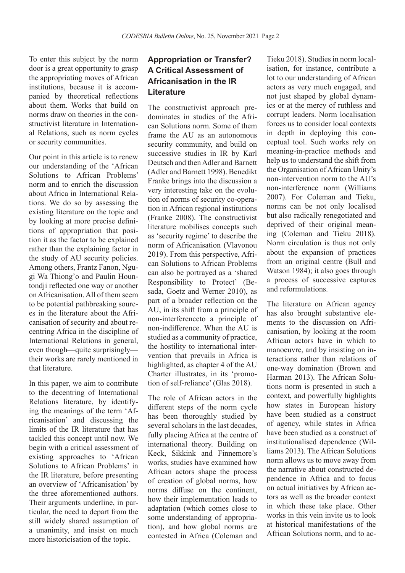To enter this subject by the norm door is a great opportunity to grasp the appropriating moves of African institutions, because it is accompanied by theoretical reflections about them. Works that build on norms draw on theories in the constructivist literature in International Relations, such as norm cycles or security communities.

Our point in this article is to renew our understanding of the 'African Solutions to African Problems' norm and to enrich the discussion about Africa in International Relations. We do so by assessing the existing literature on the topic and by looking at more precise definitions of appropriation that position it as the factor to be explained rather than the explaining factor in the study of AU security policies. Among others, Frantz Fanon, Ngugi Wa Thiong'o and Paulin Hountondji reflected one way or another on Africanisation. All of them seem to be potential pathbreaking sources in the literature about the Africanisation of security and about recentring Africa in the discipline of International Relations in general, even though—quite surprisingly their works are rarely mentioned in that literature.

In this paper, we aim to contribute to the decentring of International Relations literature, by identifying the meanings of the term 'Africanisation' and discussing the limits of the IR literature that has tackled this concept until now. We begin with a critical assessment of existing approaches to 'African Solutions to African Problems' in the IR literature, before presenting an overview of 'Africanisation' by the three aforementioned authors. Their arguments underline, in particular, the need to depart from the still widely shared assumption of a unanimity, and insist on much more historicisation of the topic.

## **Appropriation or Transfer? A Critical Assessment of Africanisation in the IR Literature**

The constructivist approach predominates in studies of the African Solutions norm. Some of them frame the AU as an autonomous security community, and build on successive studies in IR by Karl Deutsch and then Adler and Barnett (Adler and Barnett 1998). Benedikt Franke brings into the discussion a very interesting take on the evolution of norms of security co-operation in African regional institutions (Franke 2008). The constructivist literature mobilises concepts such as 'security regime' to describe the norm of Africanisation (Vlavonou 2019). From this perspective, African Solutions to African Problems can also be portrayed as a 'shared Responsibility to Protect' (Besada, Goetz and Werner 2010), as part of a broader reflection on the AU, in its shift from a principle of non-interferenceto a principle of non-indifference. When the AU is studied as a community of practice, the hostility to international intervention that prevails in Africa is highlighted, as chapter 4 of the AU Charter illustrates, in its 'promotion of self-reliance' (Glas 2018).

The role of African actors in the different steps of the norm cycle has been thoroughly studied by several scholars in the last decades, fully placing Africa at the centre of international theory. Building on Keck, Sikkink and Finnemore's works, studies have examined how African actors shape the process of creation of global norms, how norms diffuse on the continent, how their implementation leads to adaptation (which comes close to some understanding of appropriation), and how global norms are contested in Africa (Coleman and

Tieku 2018). Studies in norm localisation, for instance, contribute a lot to our understanding of African actors as very much engaged, and not just shaped by global dynamics or at the mercy of ruthless and corrupt leaders. Norm localisation forces us to consider local contexts in depth in deploying this conceptual tool. Such works rely on meaning-in-practice methods and help us to understand the shift from the Organisation of African Unity's non-intervention norm to the AU's non-interference norm (Williams 2007). For Coleman and Tieku, norms can be not only localised but also radically renegotiated and deprived of their original meaning (Coleman and Tieku 2018). Norm circulation is thus not only about the expansion of practices from an original centre (Bull and Watson 1984); it also goes through a process of successive captures and reformulations.

The literature on African agency has also brought substantive elements to the discussion on Africanisation, by looking at the room African actors have in which to manoeuvre, and by insisting on interactions rather than relations of one-way domination (Brown and Harman 2013). The African Solutions norm is presented in such a context, and powerfully highlights how states in European history have been studied as a construct of agency, while states in Africa have been studied as a construct of institutionalised dependence (Williams 2013). The African Solutions norm allows us to move away from the narrative about constructed dependence in Africa and to focus on actual initiatives by African actors as well as the broader context in which these take place. Other works in this vein invite us to look at historical manifestations of the African Solutions norm, and to ac-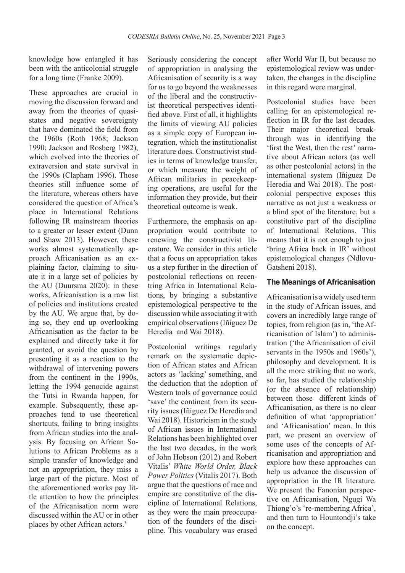knowledge how entangled it has been with the anticolonial struggle for a long time (Franke 2009).

These approaches are crucial in moving the discussion forward and away from the theories of quasistates and negative sovereignty that have dominated the field from the 1960s (Roth 1968; Jackson 1990; Jackson and Rosberg 1982), which evolved into the theories of extraversion and state survival in the 1990s (Clapham 1996). Those theories still influence some of the literature, whereas others have considered the question of Africa's place in International Relations following IR mainstream theories to a greater or lesser extent (Dunn and Shaw 2013). However, these works almost systematically approach Africanisation as an explaining factor, claiming to situate it in a large set of policies by the AU (Duursma 2020): in these works, Africanisation is a raw list of policies and institutions created by the AU. We argue that, by doing so, they end up overlooking Africanisation as the factor to be explained and directly take it for granted, or avoid the question by presenting it as a reaction to the withdrawal of intervening powers from the continent in the 1990s, letting the 1994 genocide against the Tutsi in Rwanda happen, for example. Subsequently, these approaches tend to use theoretical shortcuts, failing to bring insights from African studies into the analysis. By focusing on African Solutions to African Problems as a simple transfer of knowledge and not an appropriation, they miss a large part of the picture. Most of the aforementioned works pay little attention to how the principles of the Africanisation norm were discussed within the AU or in other places by other African actors.3

Seriously considering the concept of appropriation in analysing the Africanisation of security is a way for us to go beyond the weaknesses of the liberal and the constructivist theoretical perspectives identified above. First of all, it highlights the limits of viewing AU policies as a simple copy of European integration, which the institutionalist literature does. Constructivist studies in terms of knowledge transfer, or which measure the weight of African militaries in peacekeeping operations, are useful for the information they provide, but their theoretical outcome is weak.

Furthermore, the emphasis on appropriation would contribute to renewing the constructivist literature. We consider in this article that a focus on appropriation takes us a step further in the direction of postcolonial reflections on recentring Africa in International Relations, by bringing a substantive epistemological perspective to the discussion while associating it with empirical observations (Iñiguez De Heredia and Wai 2018).

Postcolonial writings regularly remark on the systematic depiction of African states and African actors as 'lacking' something, and the deduction that the adoption of Western tools of governance could 'save' the continent from its security issues (Iñiguez De Heredia and Wai 2018). Historicism in the study of African issues in International Relations has been highlighted over the last two decades, in the work of John Hobson (2012) and Robert Vitalis' *White World Order, Black Power Politics* (Vitalis 2017). Both argue that the questions of race and empire are constitutive of the discipline of International Relations, as they were the main preoccupation of the founders of the discipline. This vocabulary was erased after World War II, but because no epistemological review was undertaken, the changes in the discipline in this regard were marginal.

Postcolonial studies have been calling for an epistemological reflection in IR for the last decades. Their major theoretical breakthrough was in identifying the 'first the West, then the rest' narrative about African actors (as well as other postcolonial actors) in the international system (Iñiguez De Heredia and Wai 2018). The postcolonial perspective exposes this narrative as not just a weakness or a blind spot of the literature, but a constitutive part of the discipline of International Relations. This means that it is not enough to just 'bring Africa back in IR' without epistemological changes (Ndlovu-Gatsheni 2018).

#### **The Meanings of Africanisation**

Africanisation is a widely used term in the study of African issues, and covers an incredibly large range of topics, from religion (as in, 'the Africanisation of Islam') to administration ('the Africanisation of civil servants in the 1950s and 1960s'), philosophy and development. It is all the more striking that no work, so far, has studied the relationship (or the absence of relationship) between those different kinds of Africanisation, as there is no clear definition of what 'appropriation' and 'Africanisation' mean. In this part, we present an overview of some uses of the concepts of Africanisation and appropriation and explore how these approaches can help us advance the discussion of appropriation in the IR literature. We present the Fanonian perspective on Africanisation, Ngugi Wa Thiong'o's 're-membering Africa', and then turn to Hountondji's take on the concept.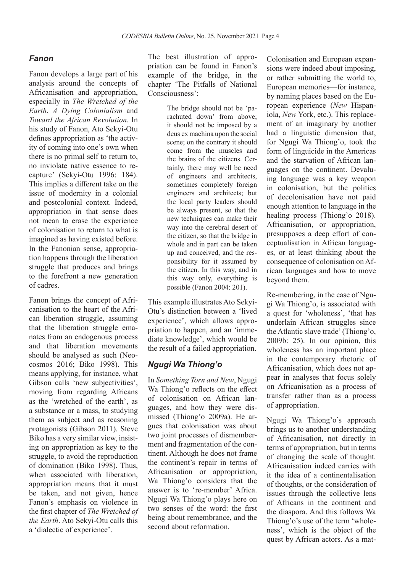### *Fanon*

Fanon develops a large part of his analysis around the concepts of Africanisation and appropriation, especially in *The Wretched of the Earth*, *A Dying Colonialism* and *Toward the African Revolution*. In his study of Fanon, Ato Sekyi-Otu defines appropriation as 'the activity of coming into one's own when there is no primal self to return to, no inviolate native essence to recapture' (Sekyi-Otu 1996: 184). This implies a different take on the issue of modernity in a colonial and postcolonial context. Indeed, appropriation in that sense does not mean to erase the experience of colonisation to return to what is imagined as having existed before. In the Fanonian sense, appropriation happens through the liberation struggle that produces and brings to the forefront a new generation of cadres.

Fanon brings the concept of Africanisation to the heart of the African liberation struggle, assuming that the liberation struggle emanates from an endogenous process and that liberation movements should be analysed as such (Neocosmos 2016; Biko 1998). This means applying, for instance, what Gibson calls 'new subjectivities', moving from regarding Africans as the 'wretched of the earth', as a substance or a mass, to studying them as subject and as reasoning protagonists (Gibson 2011). Steve Biko has a very similar view, insisting on appropriation as key to the struggle, to avoid the reproduction of domination (Biko 1998). Thus, when associated with liberation. appropriation means that it must be taken, and not given, hence Fanon's emphasis on violence in the first chapter of *The Wretched of the Earth*. Ato Sekyi-Otu calls this a 'dialectic of experience'.

The best illustration of appropriation can be found in Fanon's example of the bridge, in the chapter 'The Pitfalls of National Consciousness':

> The bridge should not be 'parachuted down' from above; it should not be imposed by a deus ex machina upon the social scene; on the contrary it should come from the muscles and the brains of the citizens. Certainly, there may well be need of engineers and architects, sometimes completely foreign engineers and architects; but the local party leaders should be always present, so that the new techniques can make their way into the cerebral desert of the citizen, so that the bridge in whole and in part can be taken up and conceived, and the responsibility for it assumed by the citizen. In this way, and in this way only, everything is possible (Fanon 2004: 201).

This example illustrates Ato Sekyi-Otu's distinction between a 'lived experience', which allows appropriation to happen, and an 'immediate knowledge', which would be the result of a failed appropriation.

## *Ngugi Wa Thiong'o*

In *Something Torn and New*, Ngugi Wa Thiong'o reflects on the effect of colonisation on African languages, and how they were dismissed (Thiong'o 2009a). He argues that colonisation was about two joint processes of dismemberment and fragmentation of the continent. Although he does not frame the continent's repair in terms of Africanisation or appropriation, Wa Thiong'o considers that the answer is to 're-member' Africa. Ngugi Wa Thiong'o plays here on two senses of the word: the first being about remembrance, and the second about reformation.

Colonisation and European expansions were indeed about imposing, or rather submitting the world to, European memories—for instance, by naming places based on the European experience (*New* Hispaniola, *New* York, etc.). This replacement of an imaginary by another had a linguistic dimension that, for Ngugi Wa Thiong'o, took the form of linguicide in the Americas and the starvation of African languages on the continent. Devaluing language was a key weapon in colonisation, but the politics of decolonisation have not paid enough attention to language in the healing process (Thiong'o 2018). Africanisation, or appropriation, presupposes a deep effort of conceptualisation in African languages, or at least thinking about the consequence of colonisation on African languages and how to move beyond them.

Re-membering, in the case of Ngugi Wa Thiong'o, is associated with a quest for 'wholeness', 'that has underlain African struggles since the Atlantic slave trade' (Thiong'o, 2009b: 25). In our opinion, this wholeness has an important place in the contemporary rhetoric of Africanisation, which does not appear in analyses that focus solely on Africanisation as a process of transfer rather than as a process of appropriation.

Ngugi Wa Thiong'o's approach brings us to another understanding of Africanisation, not directly in terms of appropriation, but in terms of changing the scale of thought. Africanisation indeed carries with it the idea of a continentalisation of thoughts, or the consideration of issues through the collective lens of Africans in the continent and the diaspora. And this follows Wa Thiong'o's use of the term 'wholeness', which is the object of the quest by African actors. As a mat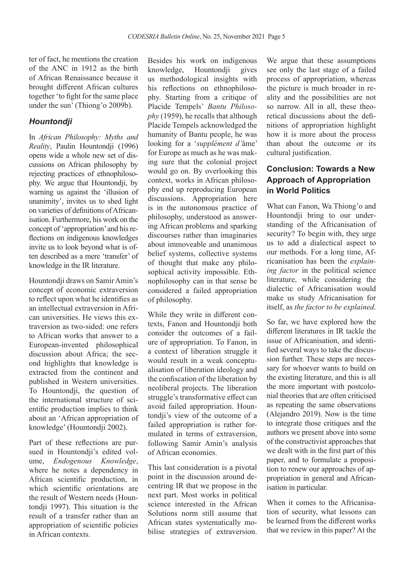ter of fact, he mentions the creation of the ANC in 1912 as the birth of African Renaissance because it brought different African cultures together 'to fight for the same place under the sun' (Thiong'o 2009b).

### *Hountondji*

In *African Philosophy: Myths and Reality*, Paulin Hountondji (1996) opens wide a whole new set of discussions on African philosophy by rejecting practices of ethnophilosophy. We argue that Hountondji, by warning us against the 'illusion of unanimity', invites us to shed light on varieties of definitions of Africanisation. Furthermore, his work on the concept of 'appropriation' and his reflections on indigenous knowledges invite us to look beyond what is often described as a mere 'transfer' of knowledge in the IR literature.

Hountondji draws on Samir Amin's concept of economic extraversion to reflect upon what he identifies as an intellectual extraversion in African universities. He views this extraversion as two-sided: one refers to African works that answer to a European-invented philosophical discussion about Africa; the second highlights that knowledge is extracted from the continent and published in Western universities. To Hountondji, the question of the international structure of scientific production implies to think about an 'African appropriation of knowledge' (Hountondji 2002).

Part of these reflections are pursued in Hountondji's edited volume, *Endogenous Knowledge*, where he notes a dependency in African scientific production, in which scientific orientations are the result of Western needs (Hountondii 1997). This situation is the result of a transfer rather than an appropriation of scientific policies in African contexts.

Besides his work on indigenous knowledge, Hountondji gives us methodological insights with his reflections on ethnophilosophy. Starting from a critique of Placide Tempels' *Bantu Philosophy* (1959), he recalls that although Placide Tempels acknowledged the humanity of Bantu people, he was looking for a '*supplément d'*âme' for Europe as much as he was making sure that the colonial project would go on. By overlooking this context, works in African philosophy end up reproducing European discussions. Appropriation here is in the autonomous practice of philosophy, understood as answering African problems and sparking discourses rather than imaginaries about immoveable and unanimous belief systems, collective systems of thought that make any philosophical activity impossible. Ethnophilosophy can in that sense be considered a failed appropriation of philosophy.

While they write in different contexts, Fanon and Hountondji both consider the outcomes of a failure of appropriation. To Fanon, in a context of liberation struggle it would result in a weak conceptualisation of liberation ideology and the confiscation of the liberation by neoliberal projects. The liberation struggle's transformative effect can avoid failed appropriation. Hountondii's view of the outcome of a failed appropriation is rather formulated in terms of extraversion, following Samir Amin's analysis of African economies.

This last consideration is a pivotal point in the discussion around decentring IR that we propose in the next part. Most works in political science interested in the African Solutions norm still assume that African states systematically mobilise strategies of extraversion.

We argue that these assumptions see only the last stage of a failed process of appropriation, whereas the picture is much broader in reality and the possibilities are not so narrow. All in all, these theoretical discussions about the definitions of appropriation highlight how it is more about the process than about the outcome or its cultural justification.

## **Conclusion: Towards a New Approach of Appropriation in World Politics**

What can Fanon, Wa Thiong'o and Hountondji bring to our understanding of the Africanisation of security? To begin with, they urge us to add a dialectical aspect to our methods. For a long time, Africanisation has been the *explaining factor* in the political science literature, while considering the dialectic of Africanisation would make us study Africanisation for itself, as *the factor to be explained*.

So far, we have explored how the different literatures in IR tackle the issue of Africanisation, and identified several ways to take the discussion further. These steps are necessary for whoever wants to build on the existing literature, and this is all the more important with postcolonial theories that are often criticised as repeating the same observations (Alejandro 2019). Now is the time to integrate those critiques and the authors we present above into some of the constructivist approaches that we dealt with in the first part of this paper, and to formulate a proposition to renew our approaches of appropriation in general and Africanisation in particular.

When it comes to the Africanisation of security, what lessons can be learned from the different works that we review in this paper? At the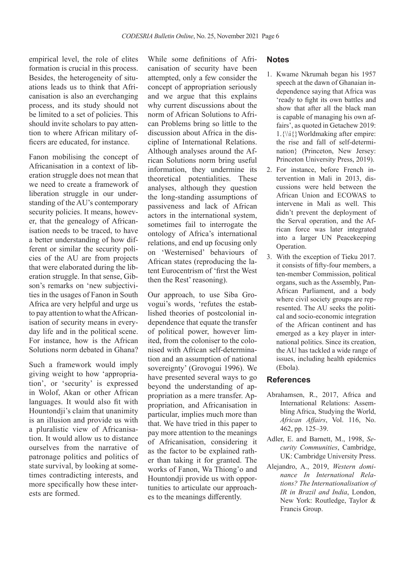empirical level, the role of elites formation is crucial in this process. Besides, the heterogeneity of situations leads us to think that Africanisation is also an everchanging process, and its study should not be limited to a set of policies. This should invite scholars to pay attention to where African military officers are educated, for instance.

Fanon mobilising the concept of Africanisation in a context of liberation struggle does not mean that we need to create a framework of liberation struggle in our understanding of the AU's contemporary security policies. It means, however, that the genealogy of Africanisation needs to be traced, to have a better understanding of how different or similar the security policies of the AU are from projects that were elaborated during the liberation struggle. In that sense, Gibson's remarks on 'new subjectivities in the usages of Fanon in South Africa are very helpful and urge us to pay attention to what the Africanisation of security means in everyday life and in the political scene. For instance, how is the African Solutions norm debated in Ghana?

Such a framework would imply giving weight to how 'appropriation', or 'security' is expressed in Wolof, Akan or other African languages. It would also fit with Hountondji's claim that unanimity is an illusion and provide us with a pluralistic view of Africanisation. It would allow us to distance ourselves from the narrative of patronage politics and politics of state survival, by looking at sometimes contradicting interests, and more specifically how these interests are formed.

While some definitions of Africanisation of security have been attempted, only a few consider the concept of appropriation seriously and we argue that this explains why current discussions about the norm of African Solutions to African Problems bring so little to the discussion about Africa in the discipline of International Relations. Although analyses around the African Solutions norm bring useful information, they undermine its theoretical potentialities. These analyses, although they question the long-standing assumptions of passiveness and lack of African actors in the international system, sometimes fail to interrogate the ontology of Africa's international relations, and end up focusing only on 'Westernised' behaviours of African states (reproducing the latent Eurocentrism of 'first the West then the Rest' reasoning).

Our approach, to use Siba Grovogui's words, 'refutes the established theories of postcolonial independence that equate the transfer of political power, however limited, from the coloniser to the colonised with African self-determination and an assumption of national sovereignty' (Grovogui 1996). We have presented several ways to go beyond the understanding of appropriation as a mere transfer. Appropriation, and Africanisation in particular, implies much more than that. We have tried in this paper to pay more attention to the meanings of Africanisation, considering it as the factor to be explained rather than taking it for granted. The works of Fanon, Wa Thiong'o and Hountondji provide us with opportunities to articulate our approaches to the meanings differently.

#### **Notes**

- 1. Kwame Nkrumah began his 1957 speech at the dawn of Ghanaian independence saying that Africa was 'ready to fight its own battles and show that after all the black man is capable of managing his own affairs', as quoted in Getachew 2019:  $1.\{\{i\}$  Worldmaking after empire: the rise and fall of self-determination} (Princeton, New Jersey: Princeton University Press, 2019).
- 2. For instance, before French intervention in Mali in 2013, discussions were held between the African Union and ECOWAS to intervene in Mali as well. This didn't prevent the deployment of the Serval operation, and the African force was later integrated into a larger UN Peacekeeping Operation.
- 3. With the exception of Tieku 2017. it consists of fifty-four members, a ten-member Commission, political organs, such as the Assembly, Pan-African Parliament, and a body where civil society groups are represented. The AU seeks the political and socio-economic integration of the African continent and has emerged as a key player in international politics. Since its creation, the AU has tackled a wide range of issues, including health epidemics (Ebola).

#### **References**

- Abrahamsen, R., 2017, Africa and International Relations: Assembling Africa, Studying the World, *African Affairs*, Vol. 116, No. 462, pp. 125–39.
- Adler, E. and Barnett, M., 1998, *Security Communities*, Cambridge, UK: Cambridge University Press.
- Alejandro, A., 2019, *Western dominance In International Relations? The Internationalisation of IR in Brazil and India*, London, New York: Routledge, Taylor & Francis Group.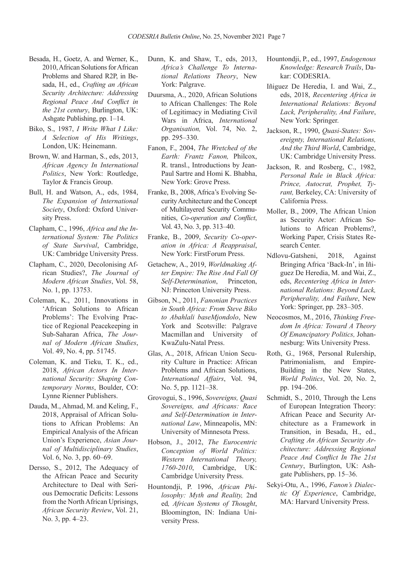- Besada, H., Goetz, A. and Werner, K., 2010, African Solutions for African Problems and Shared R2P, in Besada, H., ed., *Crafting an African Security Architecture: Addressing Regional Peace And Conflict in the 21st century*, Burlington, UK: Ashgate Publishing, pp. 1–14.
- Biko, S., 1987, *I Write What I Like: A Selection of His Writings*, London, UK: Heinemann.
- Brown, W. and Harman, S., eds, 2013, *African Agency In International Politics*, New York: Routledge, Taylor & Francis Group.
- Bull, H. and Watson, A., eds, 1984, *The Expansion of International Society*, Oxford: Oxford University Press.
- Clapham, C., 1996, *Africa and the International System: The Politics of State Survival*, Cambridge, UK: Cambridge University Press.
- Clapham, C., 2020, Decolonising African Studies?, *The Journal of Modern African Studies*, Vol. 58, No. 1, pp. 13753.
- Coleman, K., 2011, Innovations in 'African Solutions to African Problems': The Evolving Practice of Regional Peacekeeping in Sub-Saharan Africa, *The Journal of Modern African Studies*, Vol. 49, No. 4, pp. 51745.
- Coleman, K. and Tieku, T. K., ed., 2018, *African Actors In International Security: Shaping Contemporary Norms*, Boulder, CO: Lynne Rienner Publishers.
- Dauda, M., Ahmad, M. and Keling, F., 2018, Appraisal of African Solutions to African Problems: An Empirical Analysis of the African Union's Experience, *Asian Journal of Multidisciplinary Studies*, Vol. 6, No. 3, pp. 60–69.
- Dersso, S., 2012, The Adequacy of the African Peace and Security Architecture to Deal with Serious Democratic Deficits: Lessons from the North African Uprisings, *African Security Review*, Vol. 21, No. 3, pp. 4–23.
- Dunn, K. and Shaw, T., eds, 2013, *Africa's Challenge To International Relations Theory*, New York: Palgrave.
- Duursma, A., 2020, African Solutions to African Challenges: The Role of Legitimacy in Mediating Civil Wars in Africa, *International Organisation,* Vol. 74, No. 2, pp. 295–330.
- Fanon, F., 2004, *The Wretched of the Earth: Frantz Fanon,* Philcox, R. transl., Introductions by Jean-Paul Sartre and Homi K. Bhabha, New York: Grove Press.
- Franke, B., 2008, Africa's Evolving Security Architecture and the Concept of Multilayered Security Communities, *Co-operation and Conflict*, Vol. 43, No. 3, pp. 313–40.
- Franke, B., 2009, *Security Co-operation in Africa: A Reappraisal*, New York: FirstForum Press.
- Getachew, A., 2019, *Worldmaking After Empire: The Rise And Fall Of Self-Determination*, Princeton, NJ: Princeton University Press.
- Gibson, N., 2011, *Fanonian Practices in South Africa: From Steve Biko to Abahlali baseMjondolo*, New York and Scotsville: Palgrave Macmillan and University of KwaZulu-Natal Press.
- Glas, A., 2018, African Union Security Culture in Practice: African Problems and African Solutions, *International Affairs*, Vol. 94, No. 5, pp. 1121–38.
- Grovogui, S., 1996, *Sovereigns, Quasi Sovereigns, and Africans: Race and Self-Determination in International Law*, Minneapolis, MN: University of Minnesota Press.
- Hobson, J., 2012, *The Eurocentric Conception of World Politics: Western International Theory, 1760-2010*, Cambridge, UK: Cambridge University Press.
- Hountondji, P. 1996, *African Philosophy: Myth and Reality,* 2nd ed*, African Systems of Thought*, Bloomington, IN: Indiana University Press.
- Hountondji, P., ed., 1997, *Endogenous Knowledge: Research Trails*, Dakar: CODESRIA.
- Iñiguez De Heredia, I. and Wai, Z., eds, 2018, *Recentering Africa in International Relations: Beyond Lack, Peripherality, And Failure*, New York: Springer.
- Jackson, R., 1990, *Quasi-States: Sovereignty, International Relations, And the Third World*, Cambridge, UK: Cambridge University Press.
- Jackson, R. and Rosberg, C., 1982, *Personal Rule in Black Africa: Prince, Autocrat, Prophet, Tyrant,* Berkeley, CA: University of California Press.
- Moller, B., 2009, The African Union as Security Actor: African Solutions to African Problems?, Working Paper, Crisis States Research Center.
- Ndlovu-Gatsheni, 2018, Against Bringing Africa 'Back-In', in Iñiguez De Heredia, M. and Wai, Z., eds, *Recentering Africa in International Relations: Beyond Lack, Peripherality, And Failure*, New York: Springer, pp. 283–305.
- Neocosmos, M., 2016, *Thinking Freedom In Africa: Toward A Theory Of Emancipatory Politics,* Johannesburg: Wits University Press.
- Roth, G., 1968, Personal Rulership, Patrimonialism, and Empire-Building in the New States, *World Politics*, Vol. 20, No. 2, pp. 194–206.
- Schmidt, S., 2010, Through the Lens of European Integration Theory: African Peace and Security Architecture as a Framework in Transition, in Besada, H., ed., *Crafting An African Security Architecture: Addressing Regional Peace And Conflict In The 21st Century*, Burlington, UK: Ashgate Publishers, pp. 15–36.
- Sekyi-Otu, A., 1996, *Fanon's Dialectic Of Experience*, Cambridge, MA: Harvard University Press.